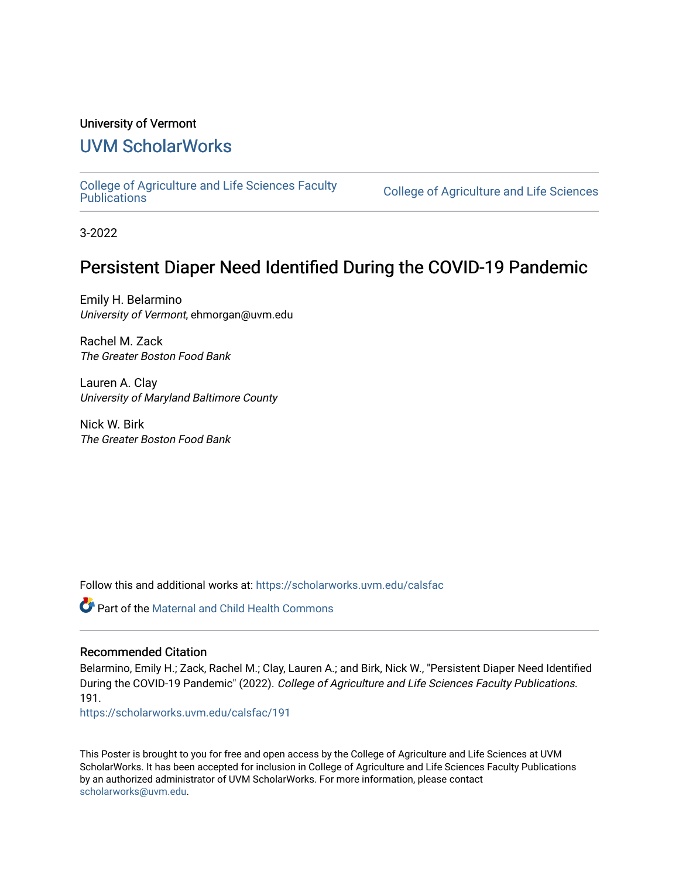#### University of Vermont

### [UVM ScholarWorks](https://scholarworks.uvm.edu/)

[College of Agriculture and Life Sciences Faculty](https://scholarworks.uvm.edu/calsfac) 

**College of Agriculture and Life Sciences** 

3-2022

### Persistent Diaper Need Identified During the COVID-19 Pandemic

Emily H. Belarmino University of Vermont, ehmorgan@uvm.edu

Rachel M. Zack The Greater Boston Food Bank

Lauren A. Clay University of Maryland Baltimore County

Nick W. Birk The Greater Boston Food Bank

Follow this and additional works at: [https://scholarworks.uvm.edu/calsfac](https://scholarworks.uvm.edu/calsfac?utm_source=scholarworks.uvm.edu%2Fcalsfac%2F191&utm_medium=PDF&utm_campaign=PDFCoverPages)

Part of the [Maternal and Child Health Commons](https://network.bepress.com/hgg/discipline/745?utm_source=scholarworks.uvm.edu%2Fcalsfac%2F191&utm_medium=PDF&utm_campaign=PDFCoverPages) 

#### Recommended Citation

Belarmino, Emily H.; Zack, Rachel M.; Clay, Lauren A.; and Birk, Nick W., "Persistent Diaper Need Identified During the COVID-19 Pandemic" (2022). College of Agriculture and Life Sciences Faculty Publications. 191.

[https://scholarworks.uvm.edu/calsfac/191](https://scholarworks.uvm.edu/calsfac/191?utm_source=scholarworks.uvm.edu%2Fcalsfac%2F191&utm_medium=PDF&utm_campaign=PDFCoverPages)

This Poster is brought to you for free and open access by the College of Agriculture and Life Sciences at UVM ScholarWorks. It has been accepted for inclusion in College of Agriculture and Life Sciences Faculty Publications by an authorized administrator of UVM ScholarWorks. For more information, please contact [scholarworks@uvm.edu](mailto:scholarworks@uvm.edu).